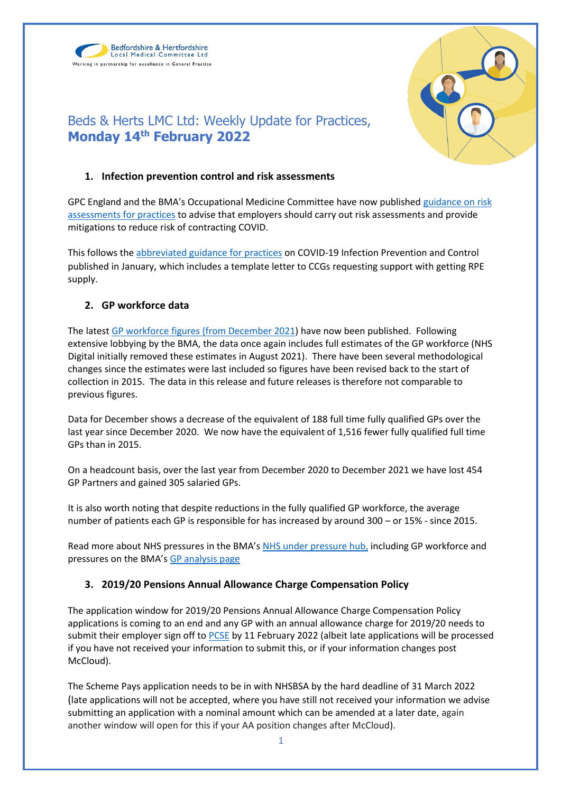Bedfordshire & Hertfordshire Local Medical Committee Ltd Working in partnership for excellence in General Practice



# Beds & Herts LMC Ltd: Weekly Update for Practices, **Monday 14th February 2022**

## **1. Infection prevention control and risk assessments**

GPC England and the BMA's Occupational Medicine Committee have now published [guidance on risk](https://www.bma.org.uk/advice-and-support/covid-19/gp-practices/covid-19-toolkit-for-gps-and-gp-practices/risk-assessment-for-gp-practices-in-england)  [assessments for practices](https://www.bma.org.uk/advice-and-support/covid-19/gp-practices/covid-19-toolkit-for-gps-and-gp-practices/risk-assessment-for-gp-practices-in-england) to advise that employers should carry out risk assessments and provide mitigations to reduce risk of contracting COVID.

This follows th[e abbreviated guidance for practices](https://i.emlfiles4.com/cmpdoc/3/7/7/5/2/files/868663_ppe-risk-assessment-final.pdf?utm_source=The%20British%20Medical%20Association&utm_medium=email&utm_campaign=12917145_GP%20ENEWSLETTER%2013012022&dm_t=0,0,0,0,0) on COVID-19 Infection Prevention and Control published in January, which includes a template letter to CCGs requesting support with getting RPE supply.

# **2. GP workforce data**

The lates[t GP workforce figures \(from December 2021\)](https://digital.nhs.uk/data-and-information/publications/statistical/general-and-personal-medical-services) have now been published. Following extensive lobbying by the BMA, the data once again includes full estimates of the GP workforce (NHS Digital initially removed these estimates in August 2021). There have been several methodological changes since the estimates were last included so figures have been revised back to the start of collection in 2015. The data in this release and future releases is therefore not comparable to previous figures.

Data for December shows a decrease of the equivalent of 188 full time fully qualified GPs over the last year since December 2020. We now have the equivalent of 1,516 fewer fully qualified full time GPs than in 2015.

On a headcount basis, over the last year from December 2020 to December 2021 we have lost 454 GP Partners and gained 305 salaried GPs.

It is also worth noting that despite reductions in the fully qualified GP workforce, the average number of patients each GP is responsible for has increased by around 300 – or 15% - since 2015.

Read more about NHS pressures in the BMA's [NHS under pressure hub,](https://www.bma.org.uk/advice-and-support/nhs-delivery-and-workforce/pressures/an-nhs-under-pressure) including GP workforce and pressures on the BMA's [GP analysis page](https://www.bma.org.uk/advice-and-support/nhs-delivery-and-workforce/pressures/pressures-in-general-practice-data-analysis)

# **3. 2019/20 Pensions Annual Allowance Charge Compensation Policy**

The application window for 2019/20 Pensions Annual Allowance Charge Compensation Policy applications is coming to an end and any GP with an annual allowance charge for 2019/20 needs to submit their employer sign off t[o PCSE](https://pcse.england.nhs.uk/services/gp-pensions/201920-pensions-annual-allowance-charge-compensation-policy/) by 11 February 2022 (albeit late applications will be processed if you have not received your information to submit this, or if your information changes post McCloud).

The Scheme Pays application needs to be in with NHSBSA by the hard deadline of 31 March 2022 (late applications will not be accepted, where you have still not received your information we advise submitting an application with a nominal amount which can be amended at a later date, again another window will open for this if your AA position changes after McCloud).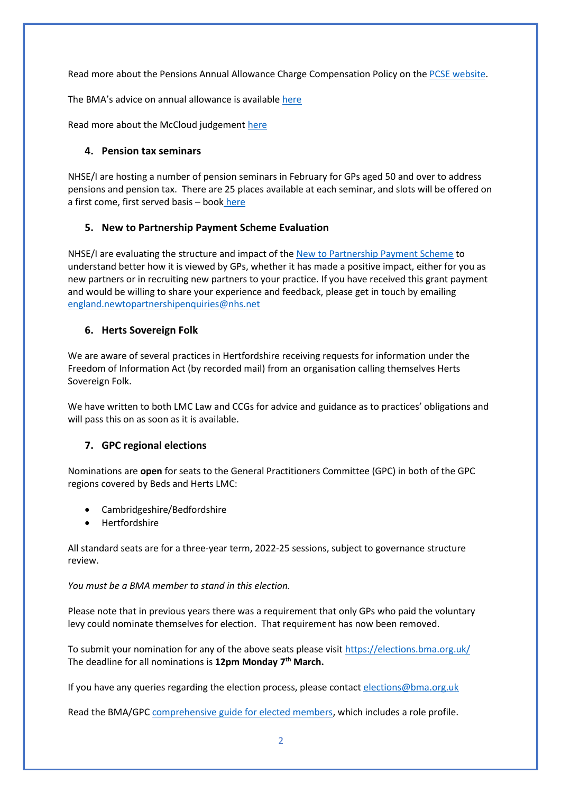Read more about the Pensions Annual Allowance Charge Compensation Policy on the [PCSE website.](https://pcse.england.nhs.uk/services/gp-pensions/201920-pensions-annual-allowance-charge-compensation-policy/)

The BMA's advice on annual allowance is available [here](https://www.bma.org.uk/pay-and-contracts/pensions/tax/annual-allowance-compensation-scheme-201920)

Read more about the McCloud judgement [here](https://www.bma.org.uk/pay-and-contracts/pensions/transitioning-to-the-2015-nhs-pension-scheme/mccloud-pension-consultation-judgment)

### **4. Pension tax seminars**

NHSE/I are hosting a number of pension seminars in February for GPs aged 50 and over to address pensions and pension tax. There are 25 places available at each seminar, and slots will be offered on a first come, first served basis – boo[k](https://www.events.england.nhs.uk/events/pensions-tax-lta-seminar) [here](https://www.events.england.nhs.uk/events/pensions-tax-lta-seminar-61f009bbaba0e) 

### **5. New to Partnership Payment Scheme Evaluation**

NHSE/I are evaluating the structure and impact of th[e New to Partnership Payment Scheme](https://www.england.nhs.uk/gp/the-best-place-to-work/new-to-partnership-payment-scheme/) to understand better how it is viewed by GPs, whether it has made a positive impact, either for you as new partners or in recruiting new partners to your practice. If you have received this grant payment and would be willing to share your experience and feedback, please get in touch by emailing [england.newtopartnershipenquiries@nhs.net](mailto:england.newtopartnershipenquiries@nhs.net)

#### **6. Herts Sovereign Folk**

We are aware of several practices in Hertfordshire receiving requests for information under the Freedom of Information Act (by recorded mail) from an organisation calling themselves Herts Sovereign Folk.

We have written to both LMC Law and CCGs for advice and guidance as to practices' obligations and will pass this on as soon as it is available.

### **7. GPC regional elections**

Nominations are **open** for seats to the General Practitioners Committee (GPC) in both of the GPC regions covered by Beds and Herts LMC:

- Cambridgeshire/Bedfordshire
- Hertfordshire

All standard seats are for a three-year term, 2022-25 sessions, subject to governance structure review.

#### *You must be a BMA member to stand in this election.*

Please note that in previous years there was a requirement that only GPs who paid the voluntary levy could nominate themselves for election. That requirement has now been removed.

To submit your nomination for any of the above seats please visit<https://elections.bma.org.uk/> The deadline for all nominations is **12pm Monday 7th March.** 

If you have any queries regarding the election process, please contac[t elections@bma.org.uk](mailto:elections@bma.org.uk)

Read the BMA/GPC [comprehensive guide for elected members,](https://www.bma.org.uk/media/5001/bma-guide-for-elected-members-jan-2022.pdf) which includes a role profile.